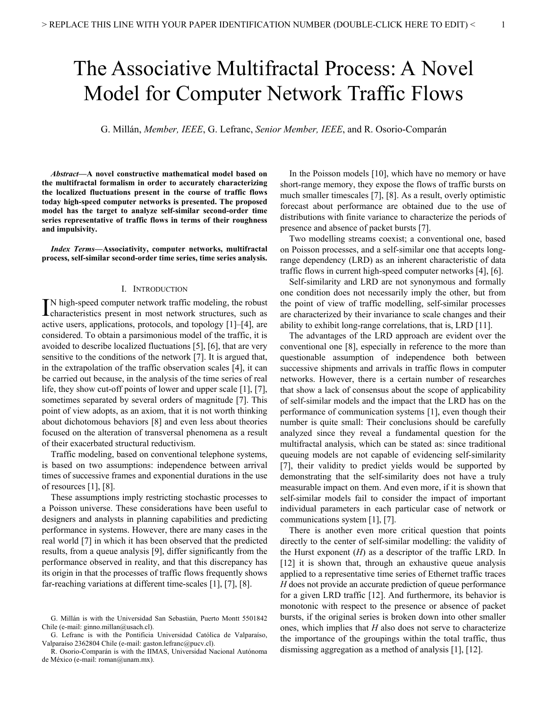# The Associative Multifractal Process: A Novel Model for Computer Network Traffic Flows

G. Millán, *Member, IEEE*, G. Lefranc, *Senior Member, IEEE*, and R. Osorio-Comparán

*Abstract***—A novel constructive mathematical model based on the multifractal formalism in order to accurately characterizing the localized fluctuations present in the course of traffic flows today high-speed computer networks is presented. The proposed model has the target to analyze self-similar second-order time series representative of traffic flows in terms of their roughness and impulsivity.** 

*Index Terms***—Associativity, computer networks, multifractal process, self-similar second-order time series, time series analysis.** 

#### I. INTRODUCTION

N high-speed computer network traffic modeling, the robust IN high-speed computer network traffic modeling, the robust<br>
characteristics present in most network structures, such as active users, applications, protocols, and topology [1]–[4], are considered. To obtain a parsimonious model of the traffic, it is avoided to describe localized fluctuations [5], [6], that are very sensitive to the conditions of the network [7]. It is argued that, in the extrapolation of the traffic observation scales [4], it can be carried out because, in the analysis of the time series of real life, they show cut-off points of lower and upper scale [1], [7], sometimes separated by several orders of magnitude [7]. This point of view adopts, as an axiom, that it is not worth thinking about dichotomous behaviors [8] and even less about theories focused on the alteration of transversal phenomena as a result of their exacerbated structural reductivism.

Traffic modeling, based on conventional telephone systems, is based on two assumptions: independence between arrival times of successive frames and exponential durations in the use of resources  $[1]$ ,  $[8]$ .

These assumptions imply restricting stochastic processes to a Poisson universe. These considerations have been useful to designers and analysts in planning capabilities and predicting performance in systems. However, there are many cases in the real world [7] in which it has been observed that the predicted results, from a queue analysis [9], differ significantly from the performance observed in reality, and that this discrepancy has its origin in that the processes of traffic flows frequently shows far-reaching variations at different time-scales [1], [7], [8].

In the Poisson models [10], which have no memory or have short-range memory, they expose the flows of traffic bursts on much smaller timescales [7], [8]. As a result, overly optimistic forecast about performance are obtained due to the use of distributions with finite variance to characterize the periods of presence and absence of packet bursts [7].

Two modelling streams coexist; a conventional one, based on Poisson processes, and a self-similar one that accepts longrange dependency (LRD) as an inherent characteristic of data traffic flows in current high-speed computer networks [4], [6].

Self-similarity and LRD are not synonymous and formally one condition does not necessarily imply the other, but from the point of view of traffic modelling, self-similar processes are characterized by their invariance to scale changes and their ability to exhibit long-range correlations, that is, LRD [11].

The advantages of the LRD approach are evident over the conventional one [8], especially in reference to the more than questionable assumption of independence both between successive shipments and arrivals in traffic flows in computer networks. However, there is a certain number of researches that show a lack of consensus about the scope of applicability of self-similar models and the impact that the LRD has on the performance of communication systems [1], even though their number is quite small: Their conclusions should be carefully analyzed since they reveal a fundamental question for the multifractal analysis, which can be stated as: since traditional queuing models are not capable of evidencing self-similarity [7], their validity to predict yields would be supported by demonstrating that the self-similarity does not have a truly measurable impact on them. And even more, if it is shown that self-similar models fail to consider the impact of important individual parameters in each particular case of network or communications system [1], [7].

There is another even more critical question that points directly to the center of self-similar modelling: the validity of the Hurst exponent (*H*) as a descriptor of the traffic LRD. In [12] it is shown that, through an exhaustive queue analysis applied to a representative time series of Ethernet traffic traces *H* does not provide an accurate prediction of queue performance for a given LRD traffic [12]. And furthermore, its behavior is monotonic with respect to the presence or absence of packet bursts, if the original series is broken down into other smaller ones, which implies that *H* also does not serve to characterize the importance of the groupings within the total traffic, thus dismissing aggregation as a method of analysis [1], [12].

G. Millán is with the Universidad San Sebastián, Puerto Montt 5501842 Chile (e-mail: ginno.millan@usach.cl).

G. Lefranc is with the Pontificia Universidad Católica de Valparaíso, Valparaíso 2362804 Chile (e-mail: gaston.lefranc@pucv.cl).

R. Osorio-Comparán is with the IIMAS, Universidad Nacional Autónoma de México (e-mail: roman@unam.mx).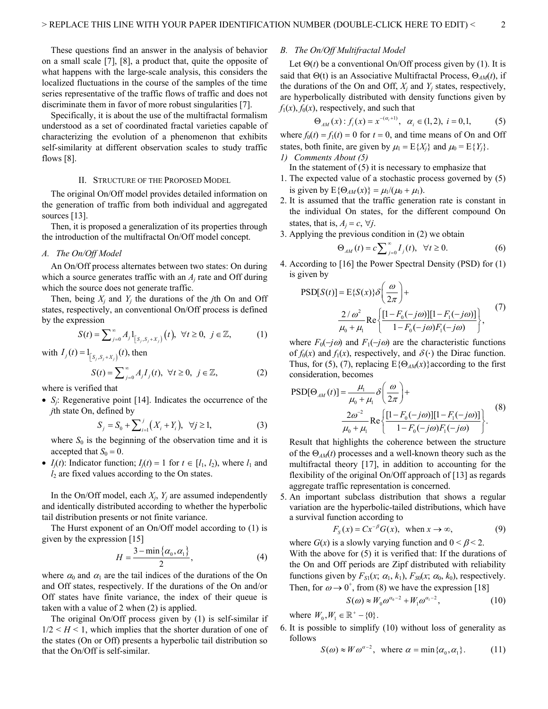These questions find an answer in the analysis of behavior on a small scale [7], [8], a product that, quite the opposite of what happens with the large-scale analysis, this considers the localized fluctuations in the course of the samples of the time series representative of the traffic flows of traffic and does not discriminate them in favor of more robust singularities [7].

Specifically, it is about the use of the multifractal formalism understood as a set of coordinated fractal varieties capable of characterizing the evolution of a phenomenon that exhibits self-similarity at different observation scales to study traffic flows [8].

#### II. STRUCTURE OF THE PROPOSED MODEL

The original On/Off model provides detailed information on the generation of traffic from both individual and aggregated sources [13].

Then, it is proposed a generalization of its properties through the introduction of the multifractal On/Off model concept.

## *A. The On/Off Model*

An On/Off process alternates between two states: On during which a source generates traffic with an *Aj* rate and Off during which the source does not generate traffic.

Then, being  $X_i$  and  $Y_i$  the durations of the *j*th On and Off states, respectively, an conventional On/Off process is defined by the expression

$$
S(t) = \sum_{j=0}^{\infty} A_j \, 1_{[S_j, S_j + X_j]}(t), \ \forall t \ge 0, \ j \in \mathbb{Z}, \tag{1}
$$

with 
$$
I_j(t) = 1_{[S_j, S_j + X_j]}(t)
$$
, then  
\n
$$
S(t) = \sum_{j=0}^{\infty} A_j I_j(t), \ \forall t \ge 0, \ j \in \mathbb{Z},
$$
\n(2)

where is verified that

 *Sj*: Regenerative point [14]. Indicates the occurrence of the *j*th state On, defined by

$$
S_j = S_0 + \sum_{i=1}^{j} (X_i + Y_i), \quad \forall j \ge 1,
$$
 (3)

where  $S_0$  is the beginning of the observation time and it is accepted that  $S_0 = 0$ .

•  $I_i(t)$ : Indicator function;  $I_i(t) = 1$  for  $t \in [l_1, l_2)$ , where  $l_1$  and  $l_2$  are fixed values according to the On states.

In the On/Off model, each  $X_i$ ,  $Y_i$  are assumed independently and identically distributed according to whether the hyperbolic tail distribution presents or not finite variance.

The Hurst exponent of an On/Off model according to (1) is given by the expression [15]

$$
H = \frac{3 - \min\{\alpha_0, \alpha_1\}}{2},\tag{4}
$$

where  $\alpha_0$  and  $\alpha_1$  are the tail indices of the durations of the On and Off states, respectively. If the durations of the On and/or Off states have finite variance, the index of their queue is taken with a value of 2 when (2) is applied.

The original On/Off process given by (1) is self-similar if  $1/2 < H < 1$ , which implies that the shorter duration of one of the states (On or Off) presents a hyperbolic tail distribution so that the On/Off is self-similar.

# *B. The On/Off Multifractal Model*

Let  $\Theta(t)$  be a conventional On/Off process given by (1). It is said that  $\Theta(t)$  is an Associative Multifractal Process,  $\Theta_{AM}(t)$ , if the durations of the On and Off,  $X_i$  and  $Y_j$  states, respectively, are hyperbolically distributed with density functions given by  $f_1(x)$ ,  $f_0(x)$ , respectively, and such that

$$
\Theta_{AM}(x): f_i(x) = x^{-(\alpha_i+1)}, \ \alpha_i \in (1,2), \ i = 0,1,
$$
 (5)

where  $f_0(t) = f_1(t) = 0$  for  $t = 0$ , and time means of On and Off states, both finite, are given by  $\mu_1 = E\{X_i\}$  and  $\mu_0 = E\{Y_i\}$ . *1) Comments About (5)* 

In the statement of  $(5)$  it is necessary to emphasize that

- 1. The expected value of a stochastic process governed by (5) is given by  $E\{\Theta_{AM}(x)\} = \mu_1/(\mu_0 + \mu_1)$ .
- 2. It is assumed that the traffic generation rate is constant in the individual On states, for the different compound On states, that is,  $A_i = c$ ,  $\forall i$ .

3. Applying the previous condition in (2) we obtain

$$
\Theta_{AM}(t) = c \sum_{j=0}^{\infty} I_j(t), \quad \forall t \ge 0.
$$
 (6)

4. According to [16] the Power Spectral Density (PSD) for (1) is given by

$$
PSD[S(t)] = E{S(x)}\delta\left(\frac{\omega}{2\pi}\right) +
$$
  

$$
\frac{2/\omega^2}{\mu_0 + \mu_1} \text{Re}\left\{\frac{[1 - F_0(-j\omega)][1 - F_1(-j\omega)]}{1 - F_0(-j\omega)F_1(-j\omega)}\right\},
$$
(7)

where  $F_0(-j\omega)$  and  $F_1(-j\omega)$  are the characteristic functions of  $f_0(x)$  and  $f_1(x)$ , respectively, and  $\delta(\cdot)$  the Dirac function. Thus, for (5), (7), replacing  $E\{\Theta_{AM}(x)\}\$ according to the first consideration, becomes

$$
PSD[\Theta_{AM}(t)] = \frac{\mu_1}{\mu_0 + \mu_1} \delta\left(\frac{\omega}{2\pi}\right) +
$$
  

$$
\frac{2\omega^{-2}}{\mu_0 + \mu_1} \text{Re}\left\{\frac{[1 - F_0(-j\omega)][1 - F_1(-j\omega)]}{1 - F_0(-j\omega)F_1(-j\omega)}\right\}.
$$
 (8)

Result that highlights the coherence between the structure of the  $\Theta_{AM}(t)$  processes and a well-known theory such as the multifractal theory [17], in addition to accounting for the flexibility of the original On/Off approach of [13] as regards aggregate traffic representation is concerned.

5. An important subclass distribution that shows a regular variation are the hyperbolic-tailed distributions, which have a survival function according to

$$
F_s(x) = C x^{-\beta} G(x), \text{ when } x \to \infty,
$$
 (9)

where  $G(x)$  is a slowly varying function and  $0 \le \beta \le 2$ . With the above for (5) it is verified that: If the durations of the On and Off periods are Zipf distributed with reliability functions given by  $F_{S1}(x; \alpha_1, k_1)$ ,  $F_{S0}(x; \alpha_0, k_0)$ , respectively. Then, for  $\omega \rightarrow 0^+$ , from (8) we have the expression [18]

$$
S(\omega) \approx W_0 \omega^{\alpha_0 - 2} + W_1 \omega^{\alpha_1 - 2},\tag{10}
$$

where  $W_0, W_1 \in \mathbb{R}^+ - \{0\}$ .

6. It is possible to simplify (10) without loss of generality as follows

$$
S(\omega) \approx W \omega^{\alpha - 2}, \text{ where } \alpha = \min\{\alpha_0, \alpha_1\}. \tag{11}
$$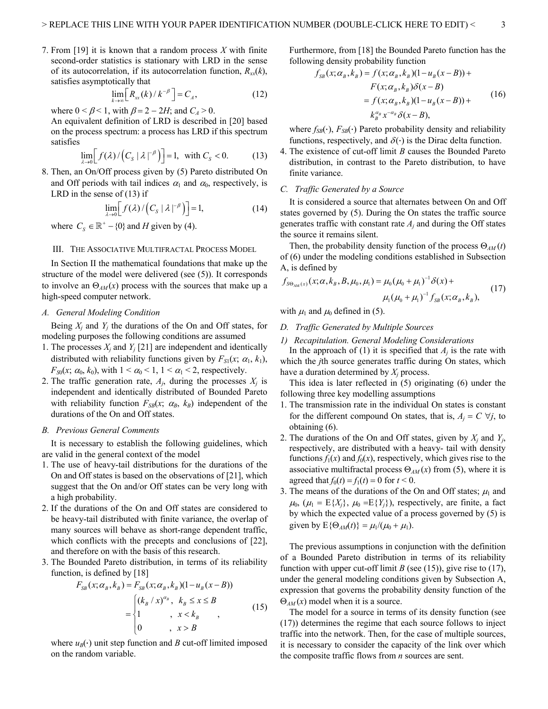7. From [19] it is known that a random process *X* with finite second-order statistics is stationary with LRD in the sense of its autocorrelation, if its autocorrelation function,  $R_{xx}(k)$ , satisfies asymptotically that

$$
\lim_{k \to \infty} \left[ R_{xx}(k) / k^{-\beta} \right] = C_A,\tag{12}
$$

where  $0 < \beta < 1$ , with  $\beta = 2 - 2H$ ; and  $C_A > 0$ .

An equivalent definition of LRD is described in [20] based on the process spectrum: a process has LRD if this spectrum satisfies

$$
\lim_{\lambda \to 0} \Big[ f(\lambda) / \Big( C_s \, |\lambda|^{-\beta} \Big) \Big] = 1, \quad \text{with } C_s < 0. \tag{13}
$$

8. Then, an On/Off process given by (5) Pareto distributed On and Off periods with tail indices  $\alpha_1$  and  $\alpha_0$ , respectively, is LRD in the sense of (13) if

$$
\lim_{\lambda \to 0} \left[ f(\lambda) / \left( C_s \, |\, \lambda|^{-\beta} \right) \right] = 1,\tag{14}
$$

where  $C_s \in \mathbb{R}^+$  – {0} and *H* given by (4).

#### III. THE ASSOCIATIVE MULTIFRACTAL PROCESS MODEL

In Section II the mathematical foundations that make up the structure of the model were delivered (see (5)). It corresponds to involve an  $\Theta_{AM}(x)$  process with the sources that make up a high-speed computer network.

## *A. General Modeling Condition*

Being  $X_i$  and  $Y_j$  the durations of the On and Off states, for modeling purposes the following conditions are assumed

- 1. The processes  $X_j$  and  $Y_j$  [21] are independent and identically distributed with reliability functions given by  $F_{S1}(x; \alpha_1, k_1)$ ,  $F_{S0}(x; \alpha_0, k_0)$ , with  $1 < \alpha_0 < 1$ ,  $1 < \alpha_1 < 2$ , respectively.
- 2. The traffic generation rate,  $A_j$ , during the processes  $X_j$  is independent and identically distributed of Bounded Pareto with reliability function  $F_{SB}(x; \alpha_B, k_B)$  independent of the durations of the On and Off states.

## *B. Previous General Comments*

It is necessary to establish the following guidelines, which are valid in the general context of the model

- 1. The use of heavy-tail distributions for the durations of the On and Off states is based on the observations of [21], which suggest that the On and/or Off states can be very long with a high probability.
- 2. If the durations of the On and Off states are considered to be heavy-tail distributed with finite variance, the overlap of many sources will behave as short-range dependent traffic, which conflicts with the precepts and conclusions of [22], and therefore on with the basis of this research.
- 3. The Bounded Pareto distribution, in terms of its reliability function, is defined by [18]

$$
F_{SB}(x; \alpha_B, k_B) = F_{SB}(x; \alpha_B, k_B)(1 - u_B(x - B))
$$
  
= 
$$
\begin{cases} (k_B / x)^{\alpha_B}, & k_B \le x \le B \\ 1, & x < k_B \\ 0, & x > B \end{cases}
$$
 (15)

where  $u_B(\cdot)$  unit step function and *B* cut-off limited imposed on the random variable.

Furthermore, from [18] the Bounded Pareto function has the following density probability function

$$
f_{SB}(x; \alpha_B, k_B) = f(x; \alpha_B, k_B)(1 - u_B(x - B)) +
$$
  
\n
$$
F(x; \alpha_B, k_B) \delta(x - B)
$$
  
\n
$$
= f(x; \alpha_B, k_B)(1 - u_B(x - B)) +
$$
  
\n
$$
k_B^{\alpha_B} x^{-\alpha_B} \delta(x - B),
$$
\n(16)

where  $f_{SB}(\cdot)$ ,  $F_{SB}(\cdot)$  Pareto probability density and reliability functions, respectively, and  $\delta(\cdot)$  is the Dirac delta function.

4. The existence of cut-off limit *B* causes the Bounded Pareto distribution, in contrast to the Pareto distribution, to have finite variance.

#### *C. Traffic Generated by a Source*

It is considered a source that alternates between On and Off states governed by (5). During the On states the traffic source generates traffic with constant rate  $A_i$  and during the Off states the source it remains silent.

Then, the probability density function of the process  $\Theta_{AM}(t)$ of (6) under the modeling conditions established in Subsection A, is defined by

$$
f_{S\Theta_{AM}(x)}(x;\alpha,k_B,B,\mu_0,\mu_1) = \mu_0(\mu_0 + \mu_1)^{-1}\delta(x) + \mu_1(\mu_0 + \mu_1)^{-1}f_{SB}(x;\alpha_B,k_B),
$$
 (17)

with  $\mu_1$  and  $\mu_0$  defined in (5).

## *D. Traffic Generated by Multiple Sources*

*1) Recapitulation. General Modeling Considerations* 

In the approach of (1) it is specified that  $A_i$  is the rate with which the *j*th source generates traffic during On states, which have a duration determined by *Xj* process.

This idea is later reflected in (5) originating (6) under the following three key modelling assumptions

- 1. The transmission rate in the individual On states is constant for the different compound On states, that is,  $A_i = C \ \forall j$ , to obtaining (6).
- 2. The durations of the On and Off states, given by  $X_i$  and  $Y_i$ , respectively, are distributed with a heavy- tail with density functions  $f_1(x)$  and  $f_0(x)$ , respectively, which gives rise to the associative multifractal process  $\Theta_{AM}(x)$  from (5), where it is agreed that  $f_0(t) = f_1(t) = 0$  for  $t < 0$ .
- 3. The means of the durations of the On and Off states;  $\mu_1$  and  $\mu_0$ ,  $(\mu_1 = E\{X_i\}, \mu_0 = E\{Y_i\})$ , respectively, are finite, a fact by which the expected value of a process governed by (5) is given by  $E{\Theta_{AM}(t)} = \mu_1/(\mu_0 + \mu_1)$ .

The previous assumptions in conjunction with the definition of a Bounded Pareto distribution in terms of its reliability function with upper cut-off limit *B* (see (15)), give rise to (17), under the general modeling conditions given by Subsection A, expression that governs the probability density function of the  $\Theta_{AM}(x)$  model when it is a source.

The model for a source in terms of its density function (see (17)) determines the regime that each source follows to inject traffic into the network. Then, for the case of multiple sources, it is necessary to consider the capacity of the link over which the composite traffic flows from *n* sources are sent.